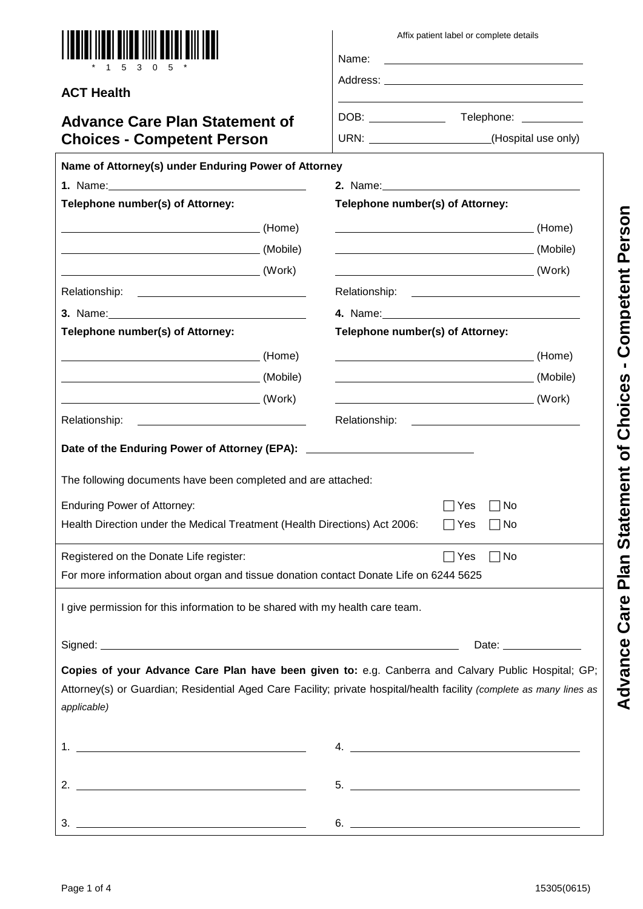| <u>Joi Bilbo IIIII Doin</u><br>1 5 3 0 5                                                                                             | Name: | Affix patient label or complete details<br><u> 1989 - Johann Stein, fransk politik (d. 1989)</u>                                                   |                                                        |
|--------------------------------------------------------------------------------------------------------------------------------------|-------|----------------------------------------------------------------------------------------------------------------------------------------------------|--------------------------------------------------------|
| <b>ACT Health</b>                                                                                                                    |       |                                                                                                                                                    |                                                        |
| <b>Advance Care Plan Statement of</b>                                                                                                |       |                                                                                                                                                    |                                                        |
| <b>Choices - Competent Person</b>                                                                                                    |       | URN: _______________________(Hospital use only)                                                                                                    |                                                        |
| Name of Attorney(s) under Enduring Power of Attorney                                                                                 |       |                                                                                                                                                    |                                                        |
| Telephone number(s) of Attorney:                                                                                                     |       | 2. Name: 100 million and 2. Name: 100 million and 2. Name: 100 million and 2. Name: 100 million and 2. Name: 1<br>Telephone number(s) of Attorney: |                                                        |
|                                                                                                                                      |       |                                                                                                                                                    |                                                        |
|                                                                                                                                      |       |                                                                                                                                                    |                                                        |
|                                                                                                                                      |       | (Mobile)                                                                                                                                           |                                                        |
| <u>(Work)</u>                                                                                                                        |       | <u>(Work) (Work)</u>                                                                                                                               |                                                        |
|                                                                                                                                      |       |                                                                                                                                                    |                                                        |
|                                                                                                                                      |       |                                                                                                                                                    |                                                        |
| Telephone number(s) of Attorney:                                                                                                     |       | Telephone number(s) of Attorney:                                                                                                                   |                                                        |
|                                                                                                                                      |       |                                                                                                                                                    |                                                        |
|                                                                                                                                      |       |                                                                                                                                                    |                                                        |
|                                                                                                                                      |       |                                                                                                                                                    |                                                        |
| Relationship:<br><u> 1980 - Jan Barbara Barat, politik eta politik eta politik eta politik eta politik eta politik eta politik e</u> |       |                                                                                                                                                    |                                                        |
| Date of the Enduring Power of Attorney (EPA): __________________________________                                                     |       |                                                                                                                                                    |                                                        |
|                                                                                                                                      |       |                                                                                                                                                    |                                                        |
| The following documents have been completed and are attached:                                                                        |       |                                                                                                                                                    |                                                        |
| <b>Enduring Power of Attorney:</b>                                                                                                   |       | $\Box$ Yes $\Box$ No                                                                                                                               |                                                        |
| Health Direction under the Medical Treatment (Health Directions) Act 2006:                                                           |       | ∣Yes<br>∣No                                                                                                                                        |                                                        |
| Registered on the Donate Life register:                                                                                              |       | $\Box$ Yes<br>$\Box$ No                                                                                                                            |                                                        |
| For more information about organ and tissue donation contact Donate Life on 6244 5625                                                |       |                                                                                                                                                    |                                                        |
|                                                                                                                                      |       |                                                                                                                                                    |                                                        |
| I give permission for this information to be shared with my health care team.                                                        |       |                                                                                                                                                    |                                                        |
|                                                                                                                                      |       |                                                                                                                                                    | Date: $\frac{1}{\sqrt{1-\frac{1}{2}}\cdot\frac{1}{2}}$ |
| Copies of your Advance Care Plan have been given to: e.g. Canberra and Calvary Public Hospital; GP;                                  |       |                                                                                                                                                    |                                                        |
| Attorney(s) or Guardian; Residential Aged Care Facility; private hospital/health facility (complete as many lines as                 |       |                                                                                                                                                    |                                                        |
| applicable)                                                                                                                          |       |                                                                                                                                                    |                                                        |
|                                                                                                                                      |       |                                                                                                                                                    |                                                        |
| $1. \begin{tabular}{ l l } \hline \end{tabular}$                                                                                     |       |                                                                                                                                                    |                                                        |
| 2. $\overline{\phantom{a}}$                                                                                                          |       |                                                                                                                                                    |                                                        |
|                                                                                                                                      |       |                                                                                                                                                    |                                                        |
|                                                                                                                                      |       | $6.$ $\overline{\phantom{a}}$                                                                                                                      |                                                        |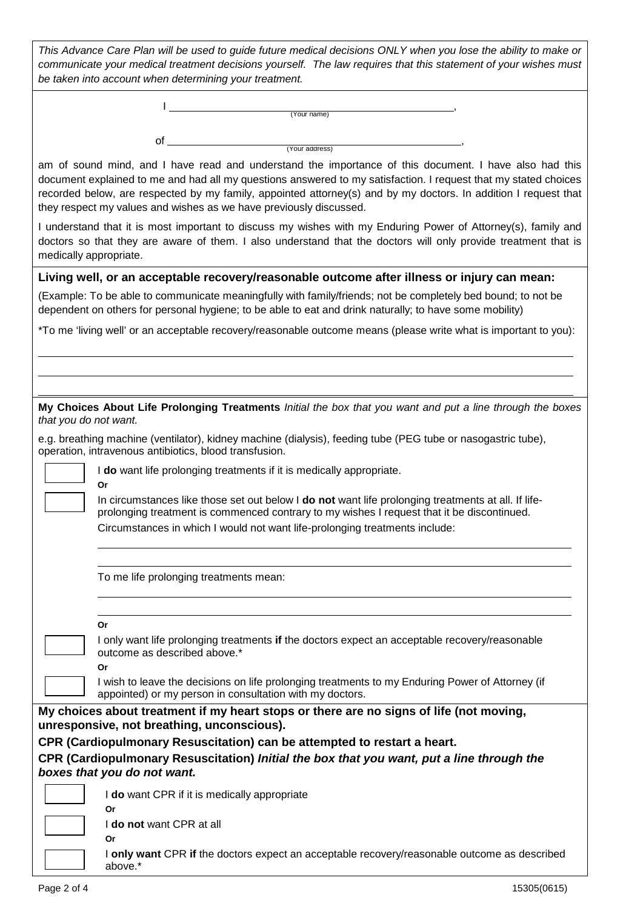| This Advance Care Plan will be used to quide future medical decisions ONLY when you lose the ability to make or |  |
|-----------------------------------------------------------------------------------------------------------------|--|
| communicate your medical treatment decisions yourself. The law requires that this statement of your wishes must |  |
| be taken into account when determining your treatment.                                                          |  |

|   | (Your name)    |  |
|---|----------------|--|
|   |                |  |
| ◡ |                |  |
|   | (Your address) |  |

am of sound mind, and I have read and understand the importance of this document. I have also had this document explained to me and had all my questions answered to my satisfaction. I request that my stated choices recorded below, are respected by my family, appointed attorney(s) and by my doctors. In addition I request that they respect my values and wishes as we have previously discussed.

I understand that it is most important to discuss my wishes with my Enduring Power of Attorney(s), family and doctors so that they are aware of them. I also understand that the doctors will only provide treatment that is medically appropriate.

#### **Living well, or an acceptable recovery/reasonable outcome after illness or injury can mean:**

(Example: To be able to communicate meaningfully with family/friends; not be completely bed bound; to not be dependent on others for personal hygiene; to be able to eat and drink naturally; to have some mobility)

\*To me 'living well' or an acceptable recovery/reasonable outcome means (please write what is important to you):

| My Choices About Life Prolonging Treatments Initial the box that you want and put a line through the boxes |  |  |  |  |  |  |
|------------------------------------------------------------------------------------------------------------|--|--|--|--|--|--|
| that you do not want.                                                                                      |  |  |  |  |  |  |

e.g. breathing machine (ventilator), kidney machine (dialysis), feeding tube (PEG tube or nasogastric tube), operation, intravenous antibiotics, blood transfusion.

I **do** want life prolonging treatments if it is medically appropriate.

In circumstances like those set out below I **do not** want life prolonging treatments at all. If lifeprolonging treatment is commenced contrary to my wishes I request that it be discontinued. Circumstances in which I would not want life-prolonging treatments include:

To me life prolonging treatments mean:

| I<br>×<br>I<br>×<br>I<br>۰. |
|-----------------------------|
|-----------------------------|

**Or**

I only want life prolonging treatments **if** the doctors expect an acceptable recovery/reasonable outcome as described above.\*

**Or** I wish to leave the decisions on life prolonging treatments to my Enduring Power of Attorney (if appointed) or my person in consultation with my doctors.

### **My choices about treatment if my heart stops or there are no signs of life (not moving, unresponsive, not breathing, unconscious).**

# **CPR (Cardiopulmonary Resuscitation) can be attempted to restart a heart.**

**CPR (Cardiopulmonary Resuscitation)** *Initial the box that you want, put a line through the boxes that you do not want.*

I **do** want CPR if it is medically appropriate **Or**

I **do not** want CPR at all **Or**

I **only want** CPR **if** the doctors expect an acceptable recovery/reasonable outcome as described above.\*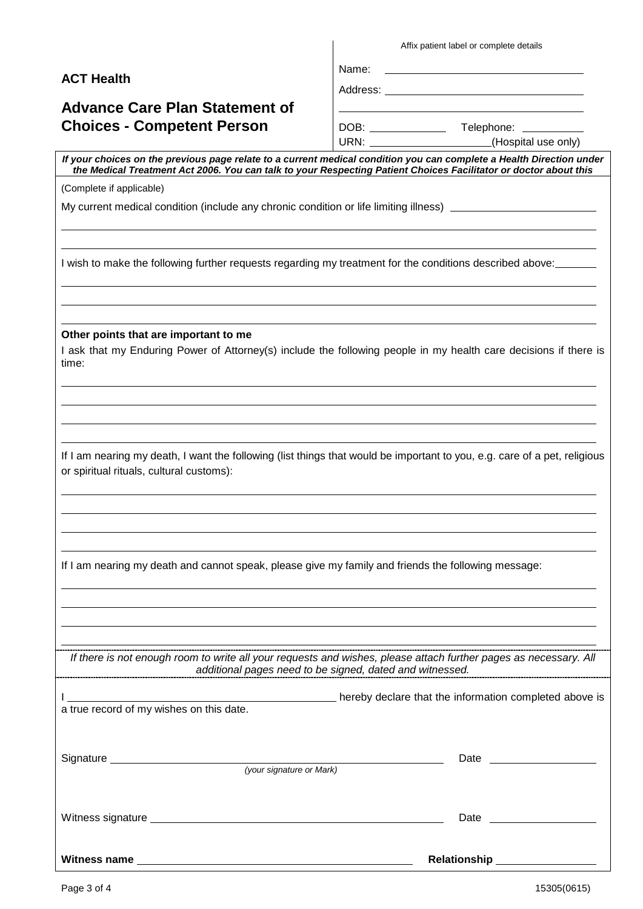**ACT Health**

# **Advance Care Plan Statement of Choices - Competent Person**

| Affix patient label or complete details |  |  |
|-----------------------------------------|--|--|
|-----------------------------------------|--|--|

Name:

Address:

DOB: Telephone:

URN: (Hospital use only)

*If your choices on the previous page relate to a current medical condition you can complete a Health Direction under the Medical Treatment Act 2006. You can talk to your Respecting Patient Choices Facilitator or doctor about this*

(Complete if applicable)

My current medical condition (include any chronic condition or life limiting illness) \_

I wish to make the following further requests regarding my treatment for the conditions described above:

**Other points that are important to me**

I ask that my Enduring Power of Attorney(s) include the following people in my health care decisions if there is time:

If I am nearing my death, I want the following (list things that would be important to you, e.g. care of a pet, religious or spiritual rituals, cultural customs):

If I am nearing my death and cannot speak, please give my family and friends the following message:

*If there is not enough room to write all your requests and wishes, please attach further pages as necessary. All additional pages need to be signed, dated and witnessed.*

|                                          |                          | hereby declare that the information completed above is                                                                                                                                                                         |  |
|------------------------------------------|--------------------------|--------------------------------------------------------------------------------------------------------------------------------------------------------------------------------------------------------------------------------|--|
| a true record of my wishes on this date. |                          |                                                                                                                                                                                                                                |  |
|                                          |                          |                                                                                                                                                                                                                                |  |
|                                          |                          |                                                                                                                                                                                                                                |  |
|                                          | (your signature or Mark) |                                                                                                                                                                                                                                |  |
|                                          |                          |                                                                                                                                                                                                                                |  |
|                                          |                          |                                                                                                                                                                                                                                |  |
|                                          |                          | Date and the contract of the contract of the contract of the contract of the contract of the contract of the contract of the contract of the contract of the contract of the contract of the contract of the contract of the c |  |
|                                          |                          |                                                                                                                                                                                                                                |  |
|                                          |                          | <b>Relationship No. 1997</b>                                                                                                                                                                                                   |  |